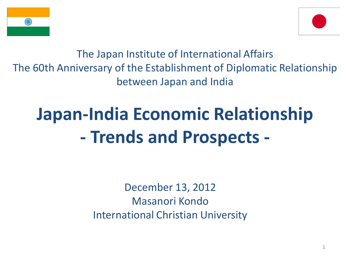



The Japan Institute of International Affairs The 60th Anniversary of the Establishment of Diplomatic Relationship between Japan and India

# **Japan-India Economic Relationship - Trends and Prospects -**

December 13, 2012 Masanori Kondo International Christian University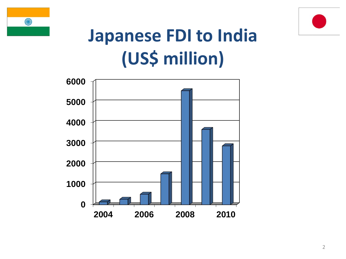



## **Japanese FDI to India (US\$ million)**

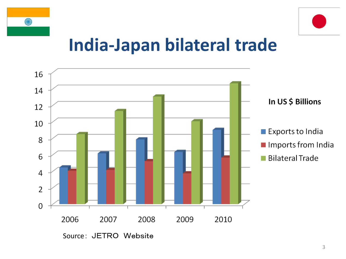



#### **India-Japan bilateral trade**

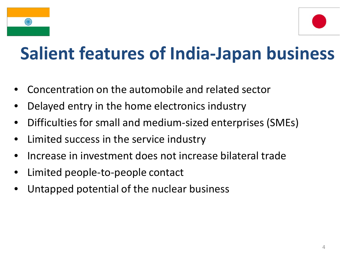



## **Salient features of India-Japan business**

- Concentration on the automobile and related sector
- Delayed entry in the home electronics industry
- Difficulties for small and medium-sized enterprises (SMEs)
- Limited success in the service industry
- Increase in investment does not increase bilateral trade
- Limited people-to-people contact
- Untapped potential of the nuclear business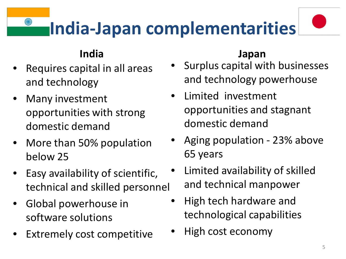# **India-Japan complementarities**

#### **India**

- Requires capital in all areas and technology
- Many investment opportunities with strong domestic demand
- More than 50% population below 25
- Easy availability of scientific, technical and skilled personnel
- Global powerhouse in software solutions
- Extremely cost competitive

#### **Japan**

- Surplus capital with businesses and technology powerhouse
- Limited investment opportunities and stagnant domestic demand
- Aging population 23% above 65 years
- Limited availability of skilled and technical manpower
- High tech hardware and technological capabilities
- High cost economy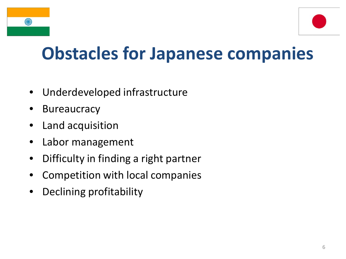

## **Obstacles for Japanese companies**

- Underdeveloped infrastructure
- **Bureaucracy**
- Land acquisition
- Labor management
- Difficulty in finding a right partner
- Competition with local companies
- Declining profitability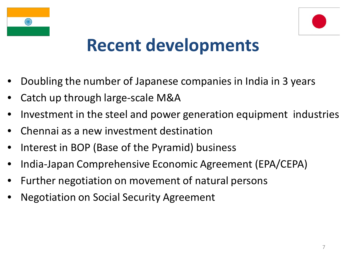



#### **Recent developments**

- Doubling the number of Japanese companies in India in 3 years
- Catch up through large-scale M&A
- Investment in the steel and power generation equipment industries
- Chennai as a new investment destination
- Interest in BOP (Base of the Pyramid) business
- India-Japan Comprehensive Economic Agreement (EPA/CEPA)
- Further negotiation on movement of natural persons
- Negotiation on Social Security Agreement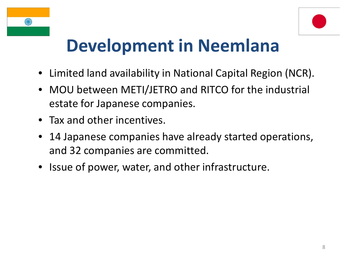



## **Development in Neemlana**

- Limited land availability in National Capital Region (NCR).
- MOU between METI/JETRO and RITCO for the industrial estate for Japanese companies.
- Tax and other incentives.
- 14 Japanese companies have already started operations, and 32 companies are committed.
- Issue of power, water, and other infrastructure.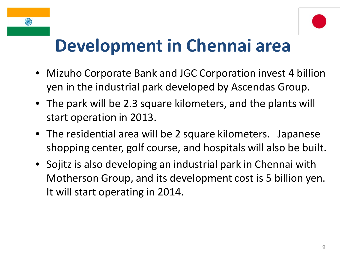#### **Development in Chennai area**

- Mizuho Corporate Bank and JGC Corporation invest 4 billion yen in the industrial park developed by Ascendas Group.
- The park will be 2.3 square kilometers, and the plants will start operation in 2013.
- The residential area will be 2 square kilometers. Japanese shopping center, golf course, and hospitals will also be built.
- Sojitz is also developing an industrial park in Chennai with Motherson Group, and its development cost is 5 billion yen. It will start operating in 2014.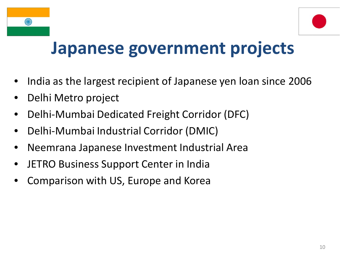



#### **Japanese government projects**

- India as the largest recipient of Japanese yen loan since 2006
- Delhi Metro project
- Delhi-Mumbai Dedicated Freight Corridor (DFC)
- Delhi-Mumbai Industrial Corridor (DMIC)
- Neemrana Japanese Investment Industrial Area
- JETRO Business Support Center in India
- Comparison with US, Europe and Korea